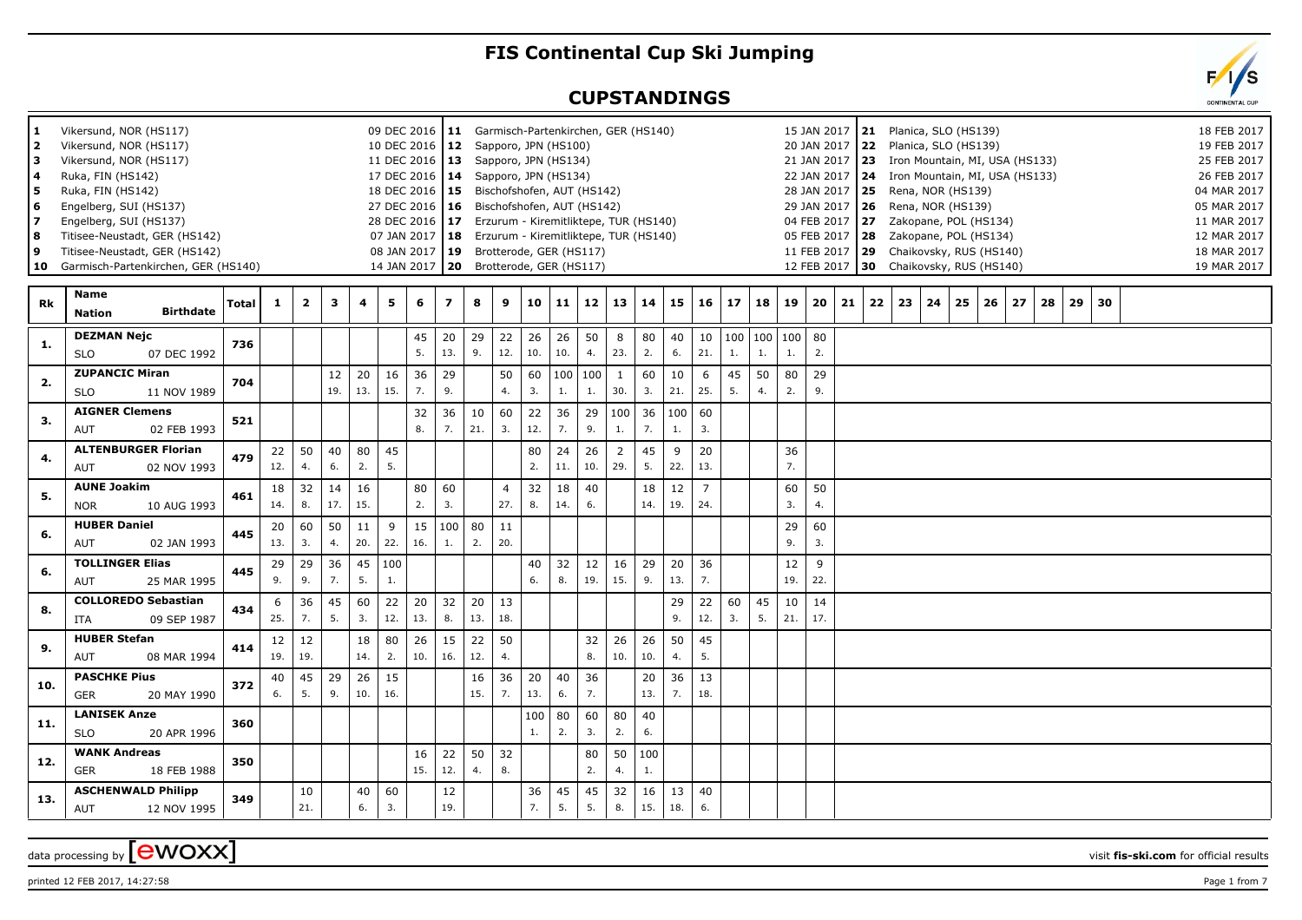## **FIS Continental Cup Ski Jumping**

## **CUPSTANDINGS**

| l 1<br>l 2<br>lз<br>l 4<br>l 5<br>  6<br>17<br>l 8<br>و ا<br>  10 | Vikersund, NOR (HS117)<br>Vikersund, NOR (HS117)<br>Vikersund, NOR (HS117)<br>Ruka, FIN (HS142)<br>Ruka, FIN (HS142)<br>Engelberg, SUI (HS137)<br>Engelberg, SUI (HS137)<br>Titisee-Neustadt, GER (HS142)<br>Titisee-Neustadt, GER (HS142)<br>Garmisch-Partenkirchen, GER (HS140) |       |              |              |                         |           | 09 DEC 2016   11 Garmisch-Partenkirchen, GER (HS140)<br>10 DEC 2016   12 Sapporo, JPN (HS100)<br>11 DEC 2016   13 Sapporo, JPN (HS134)<br>17 DEC 2016   14 Sapporo, JPN (HS134)<br>18 DEC 2016   15 Bischofshofen, AUT (HS142)<br>27 DEC 2016   16 Bischofshofen, AUT (HS142)<br>28 DEC 2016 17 Erzurum - Kiremitliktepe, TUR (HS140)<br>07 JAN 2017   18 Erzurum - Kiremitliktepe, TUR (HS140)<br>08 JAN 2017   19 Brotterode, GER (HS117)<br>14 JAN 2017   20 Brotterode, GER (HS117) |           |                         |           |                       |           |               |           |           |           |           |                       |          |          |                            | 15 JAN 2017<br>29 JAN 2017 |              | <b>21</b> Planica, SLO (HS139)<br>20 JAN 2017 22 Planica, SLO (HS139)<br>21 JAN 2017 23 Iron Mountain, MI, USA (HS133)<br>22 JAN 2017   24 Iron Mountain, MI, USA (HS133)<br>28 JAN 2017   25 Rena, NOR (HS139)<br>$ 26$ Rena, NOR (HS139)<br>04 FEB 2017 27<br>05 FEB 2017   28  Zakopane, POL (HS134)<br>11 FEB 2017 29 Chaikovsky, RUS (HS140)<br>12 FEB 2017 30 Chaikovsky, RUS (HS140) |              |    |    | Zakopane, POL (HS134) |    |    |    |    |  |  | 18 FEB 2017<br>19 FEB 2017<br>25 FEB 2017<br>26 FEB 2017<br>04 MAR 2017<br>05 MAR 2017<br>11 MAR 2017<br>12 MAR 2017<br>18 MAR 2017<br>19 MAR 2017 |
|-------------------------------------------------------------------|-----------------------------------------------------------------------------------------------------------------------------------------------------------------------------------------------------------------------------------------------------------------------------------|-------|--------------|--------------|-------------------------|-----------|-----------------------------------------------------------------------------------------------------------------------------------------------------------------------------------------------------------------------------------------------------------------------------------------------------------------------------------------------------------------------------------------------------------------------------------------------------------------------------------------|-----------|-------------------------|-----------|-----------------------|-----------|---------------|-----------|-----------|-----------|-----------|-----------------------|----------|----------|----------------------------|----------------------------|--------------|---------------------------------------------------------------------------------------------------------------------------------------------------------------------------------------------------------------------------------------------------------------------------------------------------------------------------------------------------------------------------------------------|--------------|----|----|-----------------------|----|----|----|----|--|--|----------------------------------------------------------------------------------------------------------------------------------------------------|
| <b>Rk</b>                                                         | <b>Name</b><br><b>Birthdate</b><br><b>Nation</b>                                                                                                                                                                                                                                  | Total | $\mathbf{1}$ | $\mathbf{2}$ | $\overline{\mathbf{3}}$ | 4         | 5                                                                                                                                                                                                                                                                                                                                                                                                                                                                                       | 6         | $\overline{\mathbf{z}}$ | 8         | 9                     | 10        | 11            | 12        | 13        | 14        | 15        | $16 \mid$             | 17       | 18       | 19                         |                            | $20 \mid 21$ | 22                                                                                                                                                                                                                                                                                                                                                                                          | $ 23\rangle$ | 24 | 25 | 26                    | 27 | 28 | 29 | 30 |  |  |                                                                                                                                                    |
| 1.                                                                | <b>DEZMAN Nejc</b><br><b>SLO</b><br>07 DEC 1992                                                                                                                                                                                                                                   | 736   |              |              |                         |           |                                                                                                                                                                                                                                                                                                                                                                                                                                                                                         | 45<br>5.  | 20<br>13.               | 29<br>9.  | 22<br>12.             | 26<br>10. | 26<br>10.     | 50<br>4.  | 8<br>23.  | 80<br>2.  | 40<br>6.  | 21.                   | 1.       | 1.       | 10   100   100   100<br>1. | 80<br>2.                   |              |                                                                                                                                                                                                                                                                                                                                                                                             |              |    |    |                       |    |    |    |    |  |  |                                                                                                                                                    |
| 2.                                                                | <b>ZUPANCIC Miran</b><br><b>SLO</b><br>11 NOV 1989                                                                                                                                                                                                                                | 704   |              |              | 12<br>19.               | 20<br>13. | 16<br>15.                                                                                                                                                                                                                                                                                                                                                                                                                                                                               | 36<br>7.  | 29<br>9.                |           | 50<br>4.              | 60<br>3.  | 100 100<br>1. | 1.        | 1<br>30.  | 60<br>3.  | 10<br>21. | 6<br>25.              | 45<br>5. | 50<br>4. | 80<br>2.                   | 29<br>9.                   |              |                                                                                                                                                                                                                                                                                                                                                                                             |              |    |    |                       |    |    |    |    |  |  |                                                                                                                                                    |
| 3.                                                                | <b>AIGNER Clemens</b><br>02 FEB 1993<br>AUT                                                                                                                                                                                                                                       | 521   |              |              |                         |           |                                                                                                                                                                                                                                                                                                                                                                                                                                                                                         | 32<br>8.  | 36<br>7.                | 10<br>21. | 60<br>3.              | 22<br>12. | 36<br>7.      | 29<br>9.  | 100<br>1. | 36<br>7.  | 100<br>1. | 60<br>3.              |          |          |                            |                            |              |                                                                                                                                                                                                                                                                                                                                                                                             |              |    |    |                       |    |    |    |    |  |  |                                                                                                                                                    |
| 4.                                                                | <b>ALTENBURGER Florian</b><br>AUT<br>02 NOV 1993                                                                                                                                                                                                                                  | 479   | 22<br>12.    | 50<br>4.     | 40<br>6.                | 80<br>2.  | 45<br>5.                                                                                                                                                                                                                                                                                                                                                                                                                                                                                |           |                         |           |                       | 80<br>2.  | 24<br>11.     | 26<br>10. | 2<br>29.  | 45<br>5.  | 9<br>22.  | 20<br>13.             |          |          | 36<br>7.                   |                            |              |                                                                                                                                                                                                                                                                                                                                                                                             |              |    |    |                       |    |    |    |    |  |  |                                                                                                                                                    |
| 5.                                                                | <b>AUNE Joakim</b><br><b>NOR</b><br>10 AUG 1993                                                                                                                                                                                                                                   | 461   | 18<br>14.    | 32<br>8.     | 14<br>17.               | 16<br>15. |                                                                                                                                                                                                                                                                                                                                                                                                                                                                                         | 80<br>2.  | 60<br>3.                |           | $\overline{4}$<br>27. | 32<br>8.  | 18<br>14.     | 40<br>6.  |           | 18<br>14. | 12<br>19. | $\overline{7}$<br>24. |          |          | 60<br>3.                   | 50<br>4.                   |              |                                                                                                                                                                                                                                                                                                                                                                                             |              |    |    |                       |    |    |    |    |  |  |                                                                                                                                                    |
| 6.                                                                | <b>HUBER Daniel</b><br>02 JAN 1993<br>AUT                                                                                                                                                                                                                                         | 445   | 20<br>13.    | 60<br>3.     | 50<br>4.                | 11<br>20. | 9<br>22.                                                                                                                                                                                                                                                                                                                                                                                                                                                                                | 15<br>16. | 100<br>1.               | 80<br>2.  | 11<br>20.             |           |               |           |           |           |           |                       |          |          | 29<br>9.                   | 60<br>3.                   |              |                                                                                                                                                                                                                                                                                                                                                                                             |              |    |    |                       |    |    |    |    |  |  |                                                                                                                                                    |
| 6.                                                                | <b>TOLLINGER Elias</b><br>25 MAR 1995<br>AUT                                                                                                                                                                                                                                      | 445   | 29<br>9.     | 29<br>9.     | 36<br>7.                | 45<br>5.  | 100<br>1.                                                                                                                                                                                                                                                                                                                                                                                                                                                                               |           |                         |           |                       | 40<br>6.  | 32<br>8.      | 12<br>19. | 16<br>15. | 29<br>9.  | 20<br>13. | 36<br>7.              |          |          | 12<br>19.                  | 9<br>22.                   |              |                                                                                                                                                                                                                                                                                                                                                                                             |              |    |    |                       |    |    |    |    |  |  |                                                                                                                                                    |
| 8.                                                                | <b>COLLOREDO Sebastian</b><br>09 SEP 1987<br>ITA                                                                                                                                                                                                                                  | 434   | 6<br>25.     | 36<br>7.     | 45<br>5.                | 60<br>3.  | 22<br>12.                                                                                                                                                                                                                                                                                                                                                                                                                                                                               | 20<br>13. | 32<br>8.                | 20<br>13. | 13<br>18.             |           |               |           |           |           | 29<br>9.  | 22<br>12.             | 60<br>3. | 45<br>5. | 10<br>21.                  | 14<br>17.                  |              |                                                                                                                                                                                                                                                                                                                                                                                             |              |    |    |                       |    |    |    |    |  |  |                                                                                                                                                    |
| 9.                                                                | <b>HUBER Stefan</b><br><b>AUT</b><br>08 MAR 1994                                                                                                                                                                                                                                  | 414   | 12<br>19.    | 12<br>19.    |                         | 18<br>14. | 80<br>2.                                                                                                                                                                                                                                                                                                                                                                                                                                                                                | 26<br>10. | 15<br>16.               | 22<br>12. | 50<br>4.              |           |               | 32<br>8.  | 26<br>10. | 26<br>10. | 50<br>4.  | 45<br>5.              |          |          |                            |                            |              |                                                                                                                                                                                                                                                                                                                                                                                             |              |    |    |                       |    |    |    |    |  |  |                                                                                                                                                    |
| 10.                                                               | <b>PASCHKE Pius</b><br><b>GER</b><br>20 MAY 1990                                                                                                                                                                                                                                  | 372   | 40<br>6.     | 45<br>5.     | 29<br>9.                | 26<br>10. | 15<br>16.                                                                                                                                                                                                                                                                                                                                                                                                                                                                               |           |                         | 16<br>15. | 36<br>7.              | 20<br>13. | 40<br>6.      | 36<br>7.  |           | 20<br>13. | 36<br>7.  | 13<br>18.             |          |          |                            |                            |              |                                                                                                                                                                                                                                                                                                                                                                                             |              |    |    |                       |    |    |    |    |  |  |                                                                                                                                                    |
| 11.                                                               | <b>LANISEK Anze</b><br><b>SLO</b><br>20 APR 1996                                                                                                                                                                                                                                  | 360   |              |              |                         |           |                                                                                                                                                                                                                                                                                                                                                                                                                                                                                         |           |                         |           |                       | 100<br>1. | 80<br>2.      | 60<br>3.  | 80<br>2.  | 40<br>6.  |           |                       |          |          |                            |                            |              |                                                                                                                                                                                                                                                                                                                                                                                             |              |    |    |                       |    |    |    |    |  |  |                                                                                                                                                    |
| 12.                                                               | <b>WANK Andreas</b><br><b>GER</b><br>18 FEB 1988                                                                                                                                                                                                                                  | 350   |              |              |                         |           |                                                                                                                                                                                                                                                                                                                                                                                                                                                                                         | 16<br>15. | 22<br>12.               | 50<br>4.  | 32<br>8.              |           |               | 80<br>2.  | 50<br>4.  | 100<br>1. |           |                       |          |          |                            |                            |              |                                                                                                                                                                                                                                                                                                                                                                                             |              |    |    |                       |    |    |    |    |  |  |                                                                                                                                                    |
| 13.                                                               | <b>ASCHENWALD Philipp</b><br>12 NOV 1995<br><b>AUT</b>                                                                                                                                                                                                                            | 349   |              | 10<br>21.    |                         | 40<br>6.  | 60<br>3.                                                                                                                                                                                                                                                                                                                                                                                                                                                                                |           | 12<br>19.               |           |                       | 36<br>7.  | 45<br>5.      | 45<br>5.  | 32<br>8.  | 16<br>15. | 13<br>18. | 40<br>6.              |          |          |                            |                            |              |                                                                                                                                                                                                                                                                                                                                                                                             |              |    |    |                       |    |    |    |    |  |  |                                                                                                                                                    |

data processing by **CWOXX** wisit **fis-ski.com** for official results



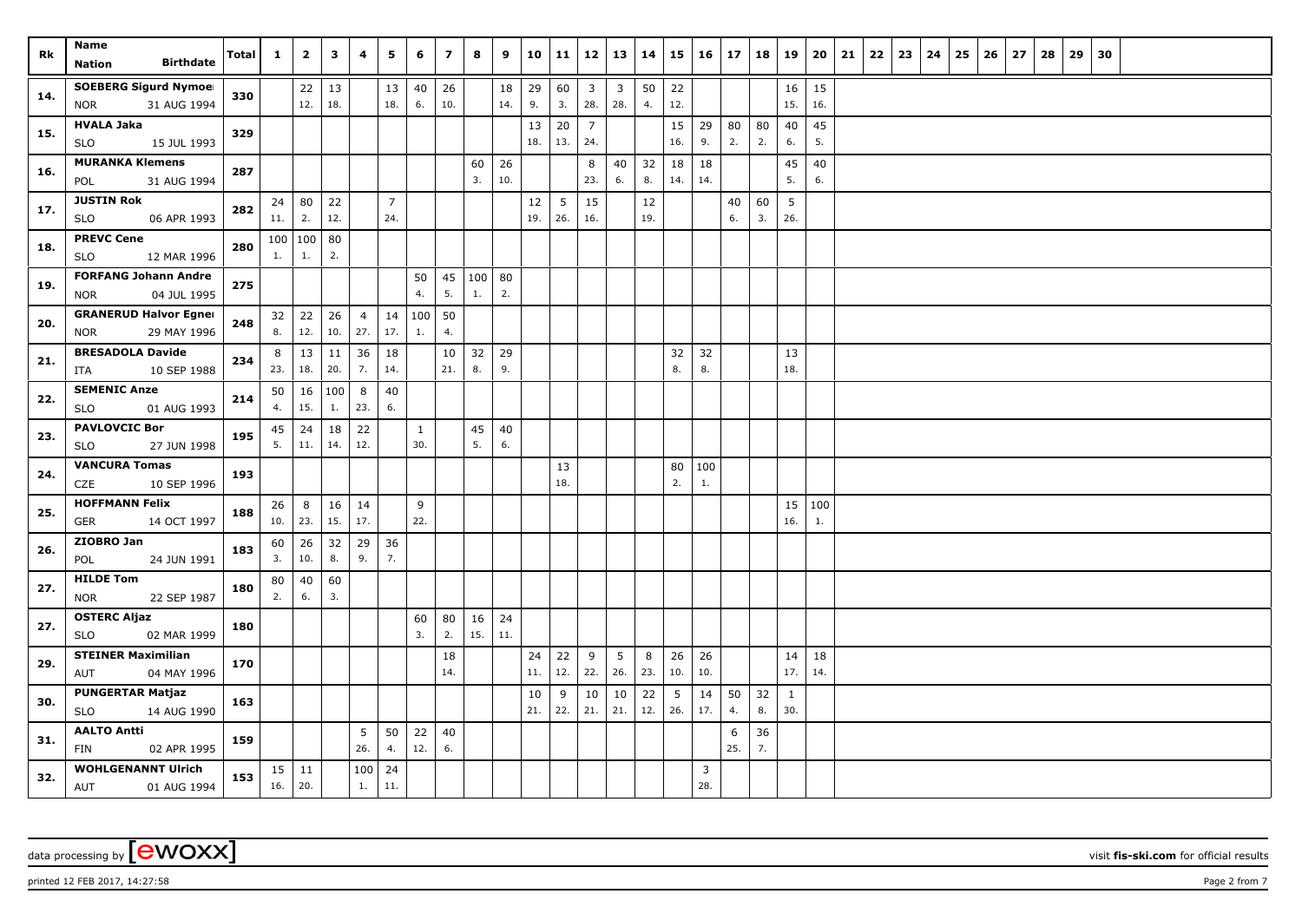| Rk  | Name<br><b>Birthdate</b><br><b>Nation</b>                 | <b>Total</b> | $\mathbf{1}$ | $\overline{\mathbf{2}}$ | 3         | 4                     | 5              | 6         | $\overline{z}$ | 8      | 9         | 10       | 11             | 12                    | 13                    | 14       | 15        | 16   | 17       | 18       | 19           | 20        | 21 | 22 | 23 | 24 | 25 | 26 | 27 | 28 | 29 | 30 |  |  |  |
|-----|-----------------------------------------------------------|--------------|--------------|-------------------------|-----------|-----------------------|----------------|-----------|----------------|--------|-----------|----------|----------------|-----------------------|-----------------------|----------|-----------|------|----------|----------|--------------|-----------|----|----|----|----|----|----|----|----|----|----|--|--|--|
|     | <b>SOEBERG Sigurd Nymoel</b>                              |              |              |                         |           |                       |                |           |                |        |           |          |                |                       |                       |          |           |      |          |          |              |           |    |    |    |    |    |    |    |    |    |    |  |  |  |
| 14. | <b>NOR</b><br>31 AUG 1994                                 | 330          |              | 22<br>12.               | 13<br>18. |                       | 13<br>18.      | 40<br>6.  | 26<br>10.      |        | 18<br>14. | 29<br>9. | 60<br>3.       | $\overline{3}$<br>28. | $\overline{3}$<br>28. | 50<br>4. | 22<br>12. |      |          |          | 16<br>15.    | 15<br>16. |    |    |    |    |    |    |    |    |    |    |  |  |  |
|     | <b>HVALA Jaka</b>                                         |              |              |                         |           |                       |                |           |                |        |           | 13       | 20             | $\overline{7}$        |                       |          | 15        | 29   | 80       | 80       | 40           | 45        |    |    |    |    |    |    |    |    |    |    |  |  |  |
| 15. | <b>SLO</b><br>15 JUL 1993                                 | 329          |              |                         |           |                       |                |           |                |        |           | 18.      | 13.            | 24.                   |                       |          | 16.       | 9.   | 2.       | 2.       | 6.           | 5.        |    |    |    |    |    |    |    |    |    |    |  |  |  |
|     | <b>MURANKA Klemens</b>                                    |              |              |                         |           |                       |                |           |                | 60     | 26        |          |                | 8                     | 40                    | 32       | 18        | 18   |          |          | 45           | 40        |    |    |    |    |    |    |    |    |    |    |  |  |  |
| 16. | 31 AUG 1994<br>POL                                        | 287          |              |                         |           |                       |                |           |                | 3.     | 10.       |          |                | 23.                   | 6.                    | 8.       | 14.       | 14.  |          |          | 5.           | 6.        |    |    |    |    |    |    |    |    |    |    |  |  |  |
| 17. | <b>JUSTIN Rok</b>                                         | 282          | 24           | 80                      | 22        |                       | $\overline{7}$ |           |                |        |           | 12       | 5 <sup>5</sup> | 15                    |                       | 12       |           |      | 40       | 60       | 5            |           |    |    |    |    |    |    |    |    |    |    |  |  |  |
|     | 06 APR 1993<br><b>SLO</b>                                 |              | 11.          | 2.                      | 12.       |                       | 24.            |           |                |        |           | 19.      | 26.            | 16.                   |                       | 19.      |           |      | 6.       | 3.       | 26.          |           |    |    |    |    |    |    |    |    |    |    |  |  |  |
| 18. | <b>PREVC Cene</b>                                         | 280          |              | 100   100   80          |           |                       |                |           |                |        |           |          |                |                       |                       |          |           |      |          |          |              |           |    |    |    |    |    |    |    |    |    |    |  |  |  |
|     | <b>SLO</b><br>12 MAR 1996                                 |              | 1.           | 1.                      | 2.        |                       |                |           |                |        |           |          |                |                       |                       |          |           |      |          |          |              |           |    |    |    |    |    |    |    |    |    |    |  |  |  |
| 19. | <b>FORFANG Johann Andre</b>                               | 275          |              |                         |           |                       |                | 50        | 45             | 100 80 |           |          |                |                       |                       |          |           |      |          |          |              |           |    |    |    |    |    |    |    |    |    |    |  |  |  |
|     | 04 JUL 1995<br><b>NOR</b>                                 |              |              |                         |           |                       |                | 4.        | 5.             | 1.     | 2.        |          |                |                       |                       |          |           |      |          |          |              |           |    |    |    |    |    |    |    |    |    |    |  |  |  |
| 20. | <b>GRANERUD Halvor Egner</b><br>29 MAY 1996<br><b>NOR</b> | 248          | 32<br>8.     | 22<br>12.               | 26<br>10. | $\overline{4}$<br>27. | 14<br>17.      | 100<br>1. | 50<br>4.       |        |           |          |                |                       |                       |          |           |      |          |          |              |           |    |    |    |    |    |    |    |    |    |    |  |  |  |
|     | <b>BRESADOLA Davide</b>                                   |              | 8            | 13                      | 11        | 36                    | 18             |           | 10             | 32     | 29        |          |                |                       |                       |          | 32        | 32   |          |          | 13           |           |    |    |    |    |    |    |    |    |    |    |  |  |  |
| 21. | 10 SEP 1988<br>ITA                                        | 234          | 23.          | 18.                     | 20.       | 7.                    | 14.            |           | 21.            | 8.     | 9.        |          |                |                       |                       |          | 8.        | 8.   |          |          | 18.          |           |    |    |    |    |    |    |    |    |    |    |  |  |  |
|     | <b>SEMENIC Anze</b>                                       |              | 50           | 16                      | 100       | 8                     | 40             |           |                |        |           |          |                |                       |                       |          |           |      |          |          |              |           |    |    |    |    |    |    |    |    |    |    |  |  |  |
| 22. | <b>SLO</b><br>01 AUG 1993                                 | 214          | 4.           | 15.                     | 1.        | 23.                   | 6.             |           |                |        |           |          |                |                       |                       |          |           |      |          |          |              |           |    |    |    |    |    |    |    |    |    |    |  |  |  |
|     | <b>PAVLOVCIC Bor</b>                                      |              | 45           | 24                      | 18        | 22                    |                | 1         |                | 45     | 40        |          |                |                       |                       |          |           |      |          |          |              |           |    |    |    |    |    |    |    |    |    |    |  |  |  |
| 23. | 27 JUN 1998<br><b>SLO</b>                                 | 195          | 5.           | 11.                     | 14.       | 12.                   |                | 30.       |                | 5.     | 6.        |          |                |                       |                       |          |           |      |          |          |              |           |    |    |    |    |    |    |    |    |    |    |  |  |  |
| 24. | <b>VANCURA Tomas</b>                                      | 193          |              |                         |           |                       |                |           |                |        |           |          | 13             |                       |                       |          | 80        | 100  |          |          |              |           |    |    |    |    |    |    |    |    |    |    |  |  |  |
|     | CZE<br>10 SEP 1996                                        |              |              |                         |           |                       |                |           |                |        |           |          | 18.            |                       |                       |          | 2.        | $1.$ |          |          |              |           |    |    |    |    |    |    |    |    |    |    |  |  |  |
| 25. | <b>HOFFMANN Felix</b>                                     | 188          | 26           | 8                       | 16        | 14                    |                | 9         |                |        |           |          |                |                       |                       |          |           |      |          |          | 15           | 100       |    |    |    |    |    |    |    |    |    |    |  |  |  |
|     | 14 OCT 1997<br>GER                                        |              | 10.          | 23.                     | 15.       | 17.                   |                | 22.       |                |        |           |          |                |                       |                       |          |           |      |          |          | 16.          | 1.        |    |    |    |    |    |    |    |    |    |    |  |  |  |
| 26. | ZIOBRO Jan<br>24 JUN 1991<br>POL                          | 183          | 60<br>3.     | 26<br>10.               | 32<br>8.  | 29<br>9.              | 36<br>7.       |           |                |        |           |          |                |                       |                       |          |           |      |          |          |              |           |    |    |    |    |    |    |    |    |    |    |  |  |  |
|     | <b>HILDE Tom</b>                                          |              | 80           | 40                      | 60        |                       |                |           |                |        |           |          |                |                       |                       |          |           |      |          |          |              |           |    |    |    |    |    |    |    |    |    |    |  |  |  |
| 27. | 22 SEP 1987<br><b>NOR</b>                                 | 180          | 2.           | 6.                      | 3.        |                       |                |           |                |        |           |          |                |                       |                       |          |           |      |          |          |              |           |    |    |    |    |    |    |    |    |    |    |  |  |  |
| 27. | <b>OSTERC Aljaz</b>                                       |              |              |                         |           |                       |                | 60        | 80             | 16     | 24        |          |                |                       |                       |          |           |      |          |          |              |           |    |    |    |    |    |    |    |    |    |    |  |  |  |
|     | <b>SLO</b><br>02 MAR 1999                                 | 180          |              |                         |           |                       |                | 3.        | 2.             | 15.    | 11.       |          |                |                       |                       |          |           |      |          |          |              |           |    |    |    |    |    |    |    |    |    |    |  |  |  |
| 29. | <b>STEINER Maximilian</b>                                 | 170          |              |                         |           |                       |                |           | 18             |        |           | 24       | 22             | 9                     | 5                     | 8        | 26        | 26   |          |          | 14           | 18        |    |    |    |    |    |    |    |    |    |    |  |  |  |
|     | 04 MAY 1996<br>AUT                                        |              |              |                         |           |                       |                |           | 14.            |        |           | 11.      | 12.            | 22.                   | 26.                   | 23.      | 10.       | 10.  |          |          | 17.          | 14.       |    |    |    |    |    |    |    |    |    |    |  |  |  |
| 30. | <b>PUNGERTAR Matjaz</b>                                   | 163          |              |                         |           |                       |                |           |                |        |           | 10       | 9              | 10                    | 10                    | 22       | 5         | 14   | 50       | 32       | $\mathbf{1}$ |           |    |    |    |    |    |    |    |    |    |    |  |  |  |
|     | <b>SLO</b><br>14 AUG 1990                                 |              |              |                         |           |                       |                |           |                |        |           | 21.      | 22.            | 21.                   | 21.                   | 12.      | 26.       | 17.  | 4.       | 8.       | 30.          |           |    |    |    |    |    |    |    |    |    |    |  |  |  |
| 31. | <b>AALTO Antti</b><br>FIN<br>02 APR 1995                  | 159          |              |                         |           | 5<br>26.              | 50<br>4.       | 22<br>12. | 40<br>6.       |        |           |          |                |                       |                       |          |           |      | 6<br>25. | 36<br>7. |              |           |    |    |    |    |    |    |    |    |    |    |  |  |  |
| 32. | <b>WOHLGENANNT Ulrich</b>                                 | 153          |              | $15 \mid 11$            |           | 100                   | 24             |           |                |        |           |          |                |                       |                       |          |           | 3    |          |          |              |           |    |    |    |    |    |    |    |    |    |    |  |  |  |
|     | AUT<br>01 AUG 1994                                        |              | 16.          | 20.                     |           | 1.                    | 11.            |           |                |        |           |          |                |                       |                       |          |           | 28.  |          |          |              |           |    |    |    |    |    |    |    |    |    |    |  |  |  |

data processing by **CWOXX** visit fis-ski.com for official results

printed 12 FEB 2017, 14:27:58 Page 2 from 7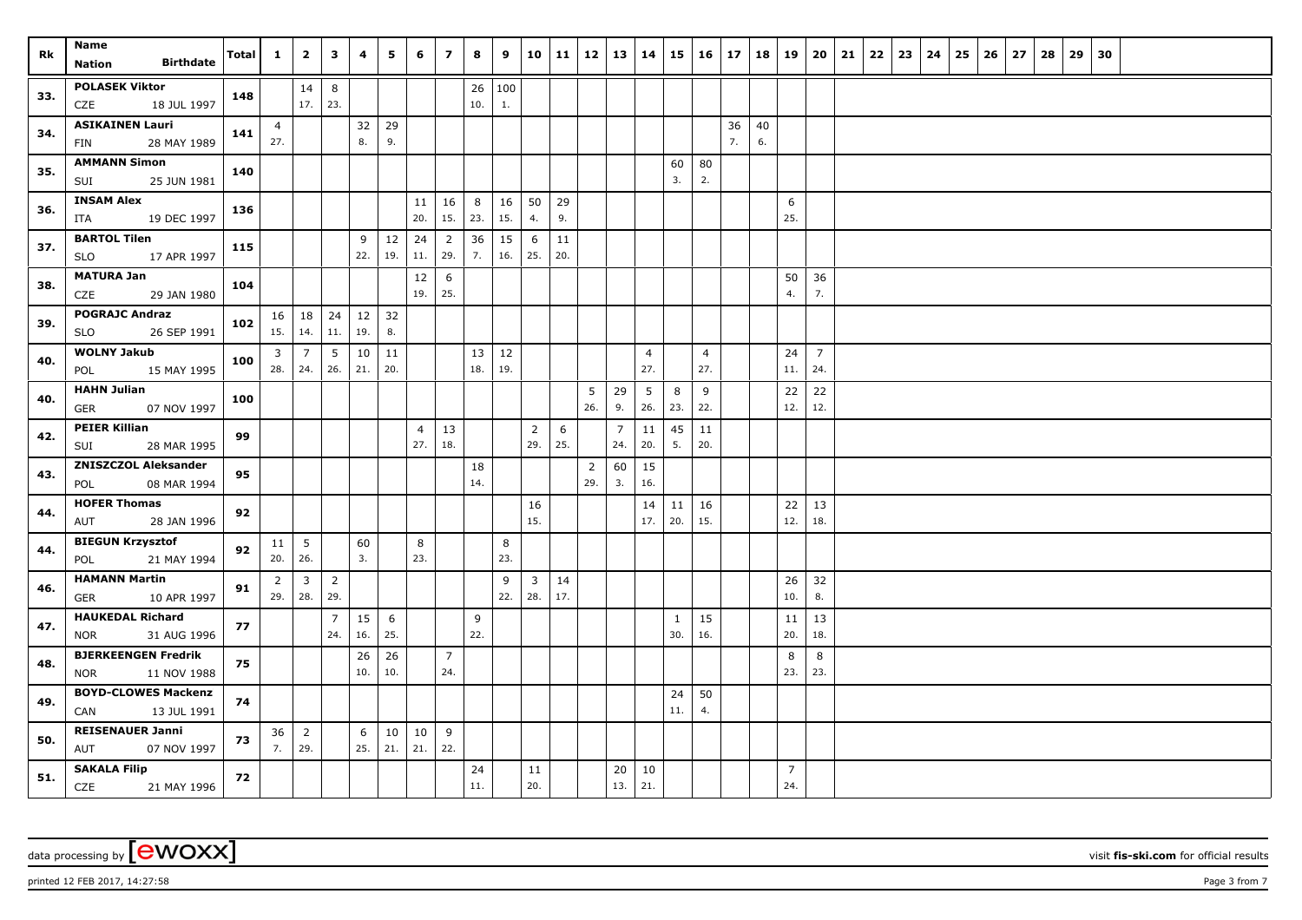| Rk  | Name<br><b>Birthdate</b><br>Nation              | Total | $\mathbf{1}$   | $\overline{2}$  | 3              | 4         | 5         | 6              | $\overline{z}$        | 8   | 9      | 10             | 11  | 12             | 13             | 14             |              | $15 \mid 16 \mid$     | 17 | 18 | 19             | 20             | 21 | 22 | 23 | 24 | 25 | 26 | 27 | 28 | 29 | 30 |  |  |  |
|-----|-------------------------------------------------|-------|----------------|-----------------|----------------|-----------|-----------|----------------|-----------------------|-----|--------|----------------|-----|----------------|----------------|----------------|--------------|-----------------------|----|----|----------------|----------------|----|----|----|----|----|----|----|----|----|----|--|--|--|
|     | <b>POLASEK Viktor</b>                           |       |                | 14              | 8              |           |           |                |                       |     | 26 100 |                |     |                |                |                |              |                       |    |    |                |                |    |    |    |    |    |    |    |    |    |    |  |  |  |
| 33. | CZE<br>18 JUL 1997                              | 148   |                | 17.             | 23.            |           |           |                |                       | 10. | 1.     |                |     |                |                |                |              |                       |    |    |                |                |    |    |    |    |    |    |    |    |    |    |  |  |  |
|     | <b>ASIKAINEN Lauri</b>                          |       | $\overline{4}$ |                 |                | 32        | 29        |                |                       |     |        |                |     |                |                |                |              |                       | 36 | 40 |                |                |    |    |    |    |    |    |    |    |    |    |  |  |  |
| 34. | 28 MAY 1989<br><b>FIN</b>                       | 141   | 27.            |                 |                | 8.        | 9.        |                |                       |     |        |                |     |                |                |                |              |                       | 7. | 6. |                |                |    |    |    |    |    |    |    |    |    |    |  |  |  |
|     | <b>AMMANN Simon</b>                             |       |                |                 |                |           |           |                |                       |     |        |                |     |                |                |                | 60           | 80                    |    |    |                |                |    |    |    |    |    |    |    |    |    |    |  |  |  |
| 35. | SUI<br>25 JUN 1981                              | 140   |                |                 |                |           |           |                |                       |     |        |                |     |                |                |                | 3.           | 2.                    |    |    |                |                |    |    |    |    |    |    |    |    |    |    |  |  |  |
| 36. | <b>INSAM Alex</b>                               | 136   |                |                 |                |           |           | 11             | 16                    | 8   | 16     | 50             | 29  |                |                |                |              |                       |    |    | 6              |                |    |    |    |    |    |    |    |    |    |    |  |  |  |
|     | 19 DEC 1997<br>ITA                              |       |                |                 |                |           |           | 20.            | 15.                   | 23. | 15.    | 4.             | 9.  |                |                |                |              |                       |    |    | 25.            |                |    |    |    |    |    |    |    |    |    |    |  |  |  |
| 37. | <b>BARTOL Tilen</b>                             | 115   |                |                 |                | 9         | 12        | 24             | $\overline{2}$        | 36  | 15     | 6              | 11  |                |                |                |              |                       |    |    |                |                |    |    |    |    |    |    |    |    |    |    |  |  |  |
|     | 17 APR 1997<br><b>SLO</b>                       |       |                |                 |                | 22.       | 19.       | 11.            | 29.                   | 7.  | 16.    | 25.            | 20. |                |                |                |              |                       |    |    |                |                |    |    |    |    |    |    |    |    |    |    |  |  |  |
| 38. | <b>MATURA Jan</b>                               | 104   |                |                 |                |           |           | 12             | 6                     |     |        |                |     |                |                |                |              |                       |    |    | 50             | 36             |    |    |    |    |    |    |    |    |    |    |  |  |  |
|     | 29 JAN 1980<br>CZE                              |       |                |                 |                |           |           | 19.            | 25.                   |     |        |                |     |                |                |                |              |                       |    |    | 4.             | 7.             |    |    |    |    |    |    |    |    |    |    |  |  |  |
| 39. | <b>POGRAJC Andraz</b>                           | 102   |                | $16 \mid 18$    | 24             | 12        | 32        |                |                       |     |        |                |     |                |                |                |              |                       |    |    |                |                |    |    |    |    |    |    |    |    |    |    |  |  |  |
|     | 26 SEP 1991<br><b>SLO</b>                       |       |                | $15. \mid 14.$  | 11.            | 19.       | 8.        |                |                       |     |        |                |     |                |                |                |              |                       |    |    |                |                |    |    |    |    |    |    |    |    |    |    |  |  |  |
| 40. | <b>WOLNY Jakub</b>                              | 100   | 3              | 7               | 5              | 10        | 11        |                |                       | 13  | 12     |                |     |                |                | $\overline{4}$ |              | $\overline{4}$<br>27. |    |    | 24             | $\overline{7}$ |    |    |    |    |    |    |    |    |    |    |  |  |  |
|     | 15 MAY 1995<br>POL                              |       |                | $28.$ 24.       | 26.            | 21.       | 20.       |                |                       | 18. | 19.    |                |     |                |                | 27.            |              |                       |    |    | 11.            | 24.            |    |    |    |    |    |    |    |    |    |    |  |  |  |
| 40. | <b>HAHN Julian</b><br><b>GER</b><br>07 NOV 1997 | 100   |                |                 |                |           |           |                |                       |     |        |                |     | 5<br>26.       | 29<br>9.       | 5<br>26.       | 8<br>23.     | 9<br>22.              |    |    | 22<br>12.      | 22<br>12.      |    |    |    |    |    |    |    |    |    |    |  |  |  |
|     | <b>PEIER Killian</b>                            |       |                |                 |                |           |           | $\overline{4}$ | 13                    |     |        | $\overline{2}$ | 6   |                | $\overline{7}$ | 11             | 45           | 11                    |    |    |                |                |    |    |    |    |    |    |    |    |    |    |  |  |  |
| 42. | 28 MAR 1995<br>SUI                              | 99    |                |                 |                |           |           | 27.            | 18.                   |     |        | 29.            | 25. |                | 24.            | 20.            | 5.           | 20.                   |    |    |                |                |    |    |    |    |    |    |    |    |    |    |  |  |  |
|     | <b>ZNISZCZOL Aleksander</b>                     |       |                |                 |                |           |           |                |                       | 18  |        |                |     | $\overline{2}$ | 60             | 15             |              |                       |    |    |                |                |    |    |    |    |    |    |    |    |    |    |  |  |  |
| 43. | POL<br>08 MAR 1994                              | 95    |                |                 |                |           |           |                |                       | 14. |        |                |     | 29.            | 3.             | 16.            |              |                       |    |    |                |                |    |    |    |    |    |    |    |    |    |    |  |  |  |
| 44. | <b>HOFER Thomas</b>                             | 92    |                |                 |                |           |           |                |                       |     |        | 16             |     |                |                | 14             | $11 \mid 16$ |                       |    |    | 22             | 13             |    |    |    |    |    |    |    |    |    |    |  |  |  |
|     | 28 JAN 1996<br>AUT                              |       |                |                 |                |           |           |                |                       |     |        | 15.            |     |                |                | 17.            | 20.          | 15.                   |    |    | 12.            | 18.            |    |    |    |    |    |    |    |    |    |    |  |  |  |
| 44. | <b>BIEGUN Krzysztof</b>                         | 92    | 11             | $5\overline{)}$ |                | 60        |           | 8              |                       |     | 8      |                |     |                |                |                |              |                       |    |    |                |                |    |    |    |    |    |    |    |    |    |    |  |  |  |
|     | 21 MAY 1994<br>POL                              |       | 20.            | 26.             |                | 3.        |           | 23.            |                       |     | 23.    |                |     |                |                |                |              |                       |    |    |                |                |    |    |    |    |    |    |    |    |    |    |  |  |  |
| 46. | <b>HAMANN Martin</b>                            | 91    | $\overline{2}$ | $\mathbf{3}$    | $\overline{2}$ |           |           |                |                       |     | 9      | $\mathbf{3}$   | 14  |                |                |                |              |                       |    |    | 26             | 32             |    |    |    |    |    |    |    |    |    |    |  |  |  |
|     | 10 APR 1997<br>GER                              |       | 29.            | 28.             | 29.            |           |           |                |                       |     | 22.    | 28.            | 17. |                |                |                |              |                       |    |    | 10.            | 8.             |    |    |    |    |    |    |    |    |    |    |  |  |  |
| 47. | <b>HAUKEDAL Richard</b>                         | 77    |                |                 | $\overline{7}$ | 15        | 6         |                |                       | 9   |        |                |     |                |                |                | 1            | 15                    |    |    | 11             | 13             |    |    |    |    |    |    |    |    |    |    |  |  |  |
|     | 31 AUG 1996<br><b>NOR</b>                       |       |                |                 | 24.            | 16.       | 25.       |                |                       | 22. |        |                |     |                |                |                | 30.          | 16.                   |    |    | 20.            | 18.            |    |    |    |    |    |    |    |    |    |    |  |  |  |
| 48. | <b>BJERKEENGEN Fredrik</b><br>11 NOV 1988       | 75    |                |                 |                | 26<br>10. | 26<br>10. |                | $\overline{7}$<br>24. |     |        |                |     |                |                |                |              |                       |    |    | 8<br>23.       | 8<br>23.       |    |    |    |    |    |    |    |    |    |    |  |  |  |
|     | NOR<br><b>BOYD-CLOWES Mackenzi</b>              |       |                |                 |                |           |           |                |                       |     |        |                |     |                |                |                |              |                       |    |    |                |                |    |    |    |    |    |    |    |    |    |    |  |  |  |
| 49. | 13 JUL 1991<br>CAN                              | 74    |                |                 |                |           |           |                |                       |     |        |                |     |                |                |                | 24<br>11.    | 50<br>4.              |    |    |                |                |    |    |    |    |    |    |    |    |    |    |  |  |  |
|     | <b>REISENAUER Janni</b>                         |       | 36             | $\overline{2}$  |                | 6         | 10        | 10             | 9                     |     |        |                |     |                |                |                |              |                       |    |    |                |                |    |    |    |    |    |    |    |    |    |    |  |  |  |
| 50. | AUT<br>07 NOV 1997                              | 73    | 7.             | 29.             |                | 25.       | 21.       | 21.            | 22.                   |     |        |                |     |                |                |                |              |                       |    |    |                |                |    |    |    |    |    |    |    |    |    |    |  |  |  |
|     | <b>SAKALA Filip</b>                             |       |                |                 |                |           |           |                |                       | 24  |        | 11             |     |                | 20             | 10             |              |                       |    |    | $\overline{7}$ |                |    |    |    |    |    |    |    |    |    |    |  |  |  |
| 51. | <b>CZE</b><br>21 MAY 1996                       | 72    |                |                 |                |           |           |                |                       | 11. |        | 20.            |     |                | 13.            | 21.            |              |                       |    |    | 24.            |                |    |    |    |    |    |    |    |    |    |    |  |  |  |

data processing by **CWOXX** visit fis-ski.com for official results

printed 12 FEB 2017, 14:27:58 Page 3 from 7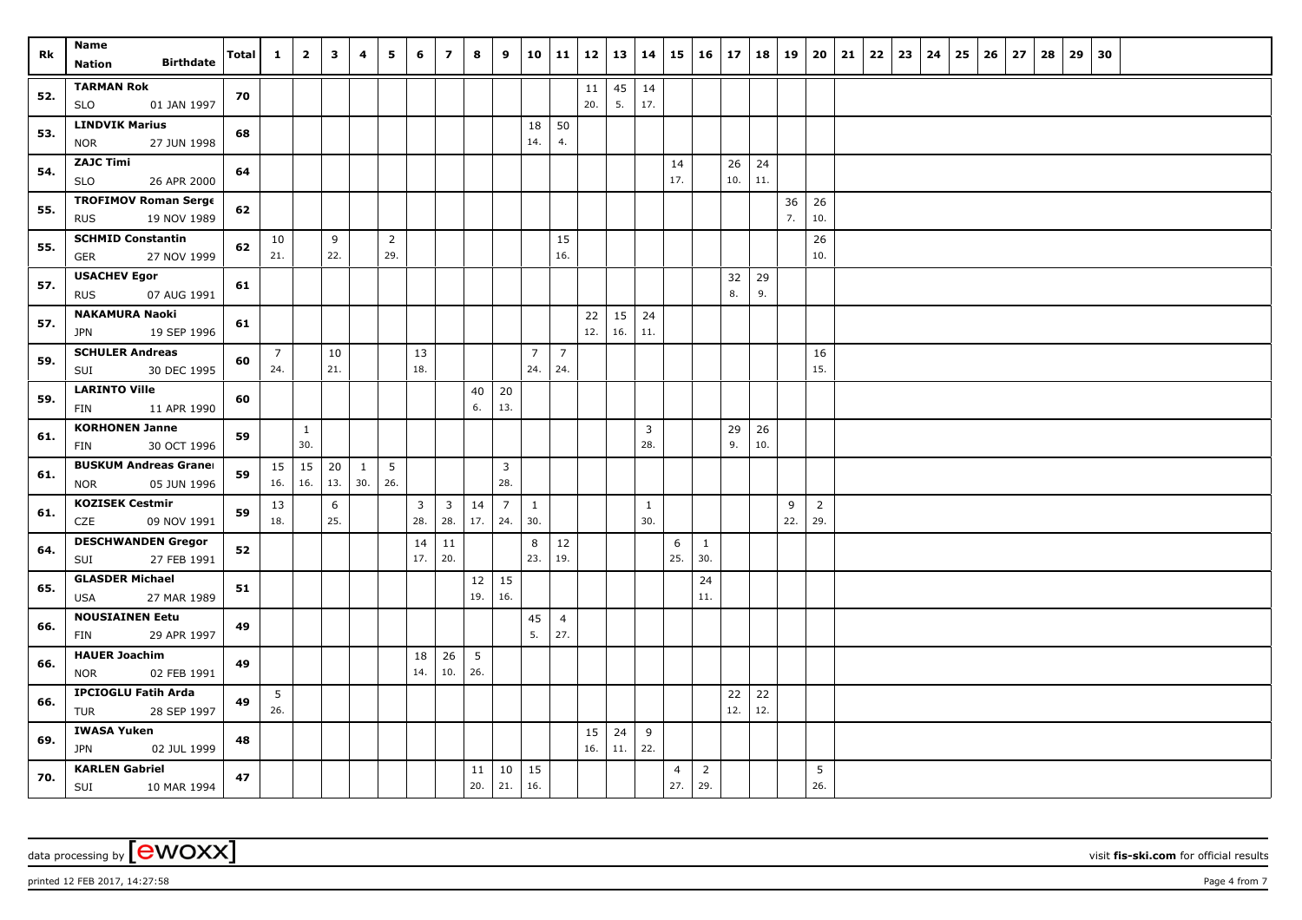| Rk  | Name<br><b>Birthdate</b><br><b>Nation</b>                 | Total | $\mathbf{1}$          | $\overline{2}$      | $\overline{\mathbf{3}}$ | 4                   | 5                      | 6         | $\overline{z}$        | 8                        | 9                     | 10                    | 11                    | 12        | 13        | 14                    | 15                    | 16                    | 17          | 18        | 19       | 20                    | 21 | 22 | 23 | 24 | 25 | 26 | 27 | 28 | 29 | 30 |  |  |
|-----|-----------------------------------------------------------|-------|-----------------------|---------------------|-------------------------|---------------------|------------------------|-----------|-----------------------|--------------------------|-----------------------|-----------------------|-----------------------|-----------|-----------|-----------------------|-----------------------|-----------------------|-------------|-----------|----------|-----------------------|----|----|----|----|----|----|----|----|----|----|--|--|
| 52. | <b>TARMAN Rok</b><br>01 JAN 1997<br><b>SLO</b>            | 70    |                       |                     |                         |                     |                        |           |                       |                          |                       |                       |                       | 11<br>20. | 45<br>5.  | 14<br>17.             |                       |                       |             |           |          |                       |    |    |    |    |    |    |    |    |    |    |  |  |
| 53. | <b>LINDVIK Marius</b><br>27 JUN 1998<br><b>NOR</b>        | 68    |                       |                     |                         |                     |                        |           |                       |                          |                       | 18<br>14.             | 50<br>4.              |           |           |                       |                       |                       |             |           |          |                       |    |    |    |    |    |    |    |    |    |    |  |  |
| 54. | <b>ZAJC Timi</b><br><b>SLO</b><br>26 APR 2000             | 64    |                       |                     |                         |                     |                        |           |                       |                          |                       |                       |                       |           |           |                       | 14<br>17.             |                       | 26<br>10.   | 24<br>11. |          |                       |    |    |    |    |    |    |    |    |    |    |  |  |
| 55. | <b>TROFIMOV Roman Serge</b><br>19 NOV 1989<br><b>RUS</b>  | 62    |                       |                     |                         |                     |                        |           |                       |                          |                       |                       |                       |           |           |                       |                       |                       |             |           | 36<br>7. | 26<br>10.             |    |    |    |    |    |    |    |    |    |    |  |  |
| 55. | <b>SCHMID Constantin</b><br>27 NOV 1999<br><b>GER</b>     | 62    | 10<br>21.             |                     | 9<br>22.                |                     | $\overline{2}$<br>29.  |           |                       |                          |                       |                       | 15<br>16.             |           |           |                       |                       |                       |             |           |          | 26<br>10.             |    |    |    |    |    |    |    |    |    |    |  |  |
| 57. | <b>USACHEV Egor</b><br><b>RUS</b><br>07 AUG 1991          | 61    |                       |                     |                         |                     |                        |           |                       |                          |                       |                       |                       |           |           |                       |                       |                       | 32<br>8.    | 29<br>9.  |          |                       |    |    |    |    |    |    |    |    |    |    |  |  |
| 57. | <b>NAKAMURA Naoki</b><br>19 SEP 1996<br><b>JPN</b>        | 61    |                       |                     |                         |                     |                        |           |                       |                          |                       |                       |                       | 22<br>12. | 15<br>16. | 24<br>11.             |                       |                       |             |           |          |                       |    |    |    |    |    |    |    |    |    |    |  |  |
| 59. | <b>SCHULER Andreas</b><br>30 DEC 1995<br>SUI              | 60    | $\overline{7}$<br>24. |                     | 10<br>21.               |                     |                        | 13<br>18. |                       |                          |                       | $\overline{7}$<br>24. | $\overline{7}$<br>24. |           |           |                       |                       |                       |             |           |          | 16<br>15.             |    |    |    |    |    |    |    |    |    |    |  |  |
| 59. | <b>LARINTO Ville</b><br><b>FIN</b><br>11 APR 1990         | 60    |                       |                     |                         |                     |                        |           |                       | 40<br>6.                 | 20<br>13.             |                       |                       |           |           |                       |                       |                       |             |           |          |                       |    |    |    |    |    |    |    |    |    |    |  |  |
| 61. | <b>KORHONEN Janne</b><br>30 OCT 1996<br>FIN               | 59    |                       | $\mathbf{1}$<br>30. |                         |                     |                        |           |                       |                          |                       |                       |                       |           |           | $\overline{3}$<br>28. |                       |                       | 29<br>9.    | 26<br>10. |          |                       |    |    |    |    |    |    |    |    |    |    |  |  |
| 61. | <b>BUSKUM Andreas Granel</b><br><b>NOR</b><br>05 JUN 1996 | 59    | 15 <br>16. 16.        | 15                  | 20<br>13.               | $\mathbf{1}$<br>30. | $5\phantom{.0}$<br>26. |           |                       |                          | $\overline{3}$<br>28. |                       |                       |           |           |                       |                       |                       |             |           |          |                       |    |    |    |    |    |    |    |    |    |    |  |  |
| 61. | <b>KOZISEK Cestmir</b><br>CZE<br>09 NOV 1991              | 59    | 13<br>18.             |                     | 6<br>25.                |                     |                        | 3<br>28.  | $\overline{3}$<br>28. | $14 \mid 7$<br>17.   24. |                       | $\mathbf{1}$<br>30.   |                       |           |           | 1<br>30.              |                       |                       |             |           | 9<br>22. | $\overline{2}$<br>29. |    |    |    |    |    |    |    |    |    |    |  |  |
| 64. | <b>DESCHWANDEN Gregor</b><br>27 FEB 1991<br>SUI           | 52    |                       |                     |                         |                     |                        | 14<br>17. | 11<br>20.             |                          |                       | 8<br>23.              | 12<br>19.             |           |           |                       | 6<br>25.              | $\mathbf{1}$<br>30.   |             |           |          |                       |    |    |    |    |    |    |    |    |    |    |  |  |
| 65. | <b>GLASDER Michael</b><br>27 MAR 1989<br><b>USA</b>       | 51    |                       |                     |                         |                     |                        |           |                       | $12 \mid 15$<br>19.      | 16.                   |                       |                       |           |           |                       |                       | 24<br>11.             |             |           |          |                       |    |    |    |    |    |    |    |    |    |    |  |  |
| 66. | <b>NOUSIAINEN Eetu</b><br>29 APR 1997<br>FIN              | 49    |                       |                     |                         |                     |                        |           |                       |                          |                       | 45<br>5.              | $\overline{4}$<br>27. |           |           |                       |                       |                       |             |           |          |                       |    |    |    |    |    |    |    |    |    |    |  |  |
| 66. | <b>HAUER Joachim</b><br><b>NOR</b><br>02 FEB 1991         | 49    |                       |                     |                         |                     |                        | 18<br>14. | 26<br>10.             | 5<br>26.                 |                       |                       |                       |           |           |                       |                       |                       |             |           |          |                       |    |    |    |    |    |    |    |    |    |    |  |  |
| 66. | <b>IPCIOGLU Fatih Arda</b><br>28 SEP 1997<br>TUR          | 49    | 5<br>26.              |                     |                         |                     |                        |           |                       |                          |                       |                       |                       |           |           |                       |                       |                       | $22$<br>12. | 22<br>12. |          |                       |    |    |    |    |    |    |    |    |    |    |  |  |
| 69. | <b>IWASA Yuken</b><br><b>JPN</b><br>02 JUL 1999           | 48    |                       |                     |                         |                     |                        |           |                       |                          |                       |                       |                       | 15<br>16. | 24<br>11. | 9<br>22.              |                       |                       |             |           |          |                       |    |    |    |    |    |    |    |    |    |    |  |  |
| 70. | <b>KARLEN Gabriel</b><br>SUI<br>10 MAR 1994               | 47    |                       |                     |                         |                     |                        |           |                       | 11<br>20.                | 10<br>21.             | 15<br>16.             |                       |           |           |                       | $\overline{4}$<br>27. | $\overline{2}$<br>29. |             |           |          | 5<br>26.              |    |    |    |    |    |    |    |    |    |    |  |  |

data processing by **CWOXX** wisit **fis-ski.com** for official results

printed 12 FEB 2017, 14:27:58 Page 4 from 7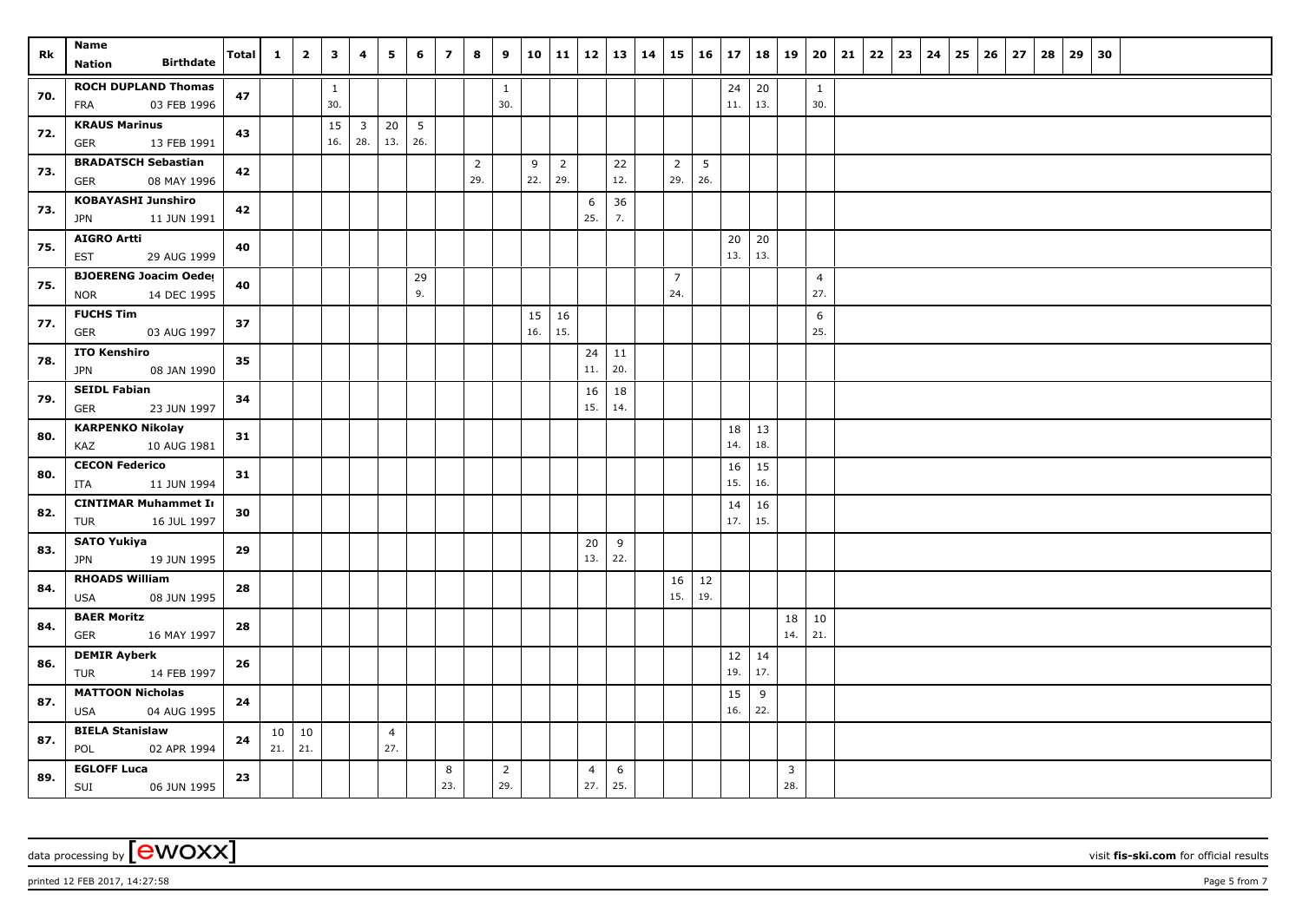| Rk  | Name                                            | Total      | $\mathbf{1}^-$ | $\overline{2}$ | $\overline{\mathbf{3}}$ | 4              | 5              | 6   | $\overline{z}$ | 8                     | 9              |     | 10 11          | 12             | 13   14   | 15             | $16 \mid 17$ |           |           | 18   19 | 20             | 21 | 22 | 23 | $24 \mid 25$ | 26 | 27 | 28 | 29 | 30 |  |  |  |
|-----|-------------------------------------------------|------------|----------------|----------------|-------------------------|----------------|----------------|-----|----------------|-----------------------|----------------|-----|----------------|----------------|-----------|----------------|--------------|-----------|-----------|---------|----------------|----|----|----|--------------|----|----|----|----|----|--|--|--|
|     | <b>Birthdate</b><br><b>Nation</b>               |            |                |                |                         |                |                |     |                |                       |                |     |                |                |           |                |              |           |           |         |                |    |    |    |              |    |    |    |    |    |  |  |  |
| 70. | <b>ROCH DUPLAND Thomas</b>                      | 47         |                |                | $\mathbf{1}$            |                |                |     |                |                       | $\mathbf{1}$   |     |                |                |           |                |              | 24        | 20        |         | $\mathbf{1}$   |    |    |    |              |    |    |    |    |    |  |  |  |
|     | <b>FRA</b><br>03 FEB 1996                       |            |                |                | 30.                     |                |                |     |                |                       | 30.            |     |                |                |           |                |              | 11.       | 13.       |         | 30.            |    |    |    |              |    |    |    |    |    |  |  |  |
| 72. | <b>KRAUS Marinus</b>                            | 43         |                |                | 15                      | 3 <sup>7</sup> | 20             | 5   |                |                       |                |     |                |                |           |                |              |           |           |         |                |    |    |    |              |    |    |    |    |    |  |  |  |
|     | GER<br>13 FEB 1991                              |            |                |                | 16.                     | 28.            | 13.            | 26. |                |                       |                |     |                |                |           |                |              |           |           |         |                |    |    |    |              |    |    |    |    |    |  |  |  |
| 73. | <b>BRADATSCH Sebastian</b>                      | 42         |                |                |                         |                |                |     |                | $\overline{2}$<br>29. |                | 9   | $\overline{2}$ |                | 22<br>12. | $\overline{2}$ | 5            |           |           |         |                |    |    |    |              |    |    |    |    |    |  |  |  |
|     | 08 MAY 1996<br>GER<br><b>KOBAYASHI Junshiro</b> |            |                |                |                         |                |                |     |                |                       |                | 22. | 29.            |                |           | 29.            | 26.          |           |           |         |                |    |    |    |              |    |    |    |    |    |  |  |  |
| 73. | JPN<br>11 JUN 1991                              | 42         |                |                |                         |                |                |     |                |                       |                |     |                | 6<br>25.       | 36<br>7.  |                |              |           |           |         |                |    |    |    |              |    |    |    |    |    |  |  |  |
|     | <b>AIGRO Artti</b>                              |            |                |                |                         |                |                |     |                |                       |                |     |                |                |           |                |              | 20        | 20        |         |                |    |    |    |              |    |    |    |    |    |  |  |  |
| 75. | <b>EST</b><br>29 AUG 1999                       | 40         |                |                |                         |                |                |     |                |                       |                |     |                |                |           |                |              | 13.       | 13.       |         |                |    |    |    |              |    |    |    |    |    |  |  |  |
|     | <b>BJOERENG Joacim Oeder</b>                    |            |                |                |                         |                |                | 29  |                |                       |                |     |                |                |           | $\overline{7}$ |              |           |           |         | $\overline{4}$ |    |    |    |              |    |    |    |    |    |  |  |  |
| 75. | 14 DEC 1995<br><b>NOR</b>                       | 40         |                |                |                         |                |                | 9.  |                |                       |                |     |                |                |           | 24.            |              |           |           |         | 27.            |    |    |    |              |    |    |    |    |    |  |  |  |
| 77. | <b>FUCHS Tim</b>                                | 37         |                |                |                         |                |                |     |                |                       |                | 15  | 16             |                |           |                |              |           |           |         | 6              |    |    |    |              |    |    |    |    |    |  |  |  |
|     | 03 AUG 1997<br><b>GER</b>                       |            |                |                |                         |                |                |     |                |                       |                | 16. | 15.            |                |           |                |              |           |           |         | 25.            |    |    |    |              |    |    |    |    |    |  |  |  |
| 78. | <b>ITO Kenshiro</b>                             | 35         |                |                |                         |                |                |     |                |                       |                |     |                | 24             | 11        |                |              |           |           |         |                |    |    |    |              |    |    |    |    |    |  |  |  |
|     | JPN<br>08 JAN 1990                              |            |                |                |                         |                |                |     |                |                       |                |     |                | 11.            | 20.       |                |              |           |           |         |                |    |    |    |              |    |    |    |    |    |  |  |  |
| 79. | <b>SEIDL Fabian</b>                             | 34         |                |                |                         |                |                |     |                |                       |                |     |                | 16<br>15.      | 18        |                |              |           |           |         |                |    |    |    |              |    |    |    |    |    |  |  |  |
|     | GER<br>23 JUN 1997                              |            |                |                |                         |                |                |     |                |                       |                |     |                |                | 14.       |                |              |           |           |         |                |    |    |    |              |    |    |    |    |    |  |  |  |
| 80. | <b>KARPENKO Nikolay</b><br>KAZ<br>10 AUG 1981   | 31         |                |                |                         |                |                |     |                |                       |                |     |                |                |           |                |              | 18<br>14. | 13<br>18. |         |                |    |    |    |              |    |    |    |    |    |  |  |  |
|     | <b>CECON Federico</b>                           |            |                |                |                         |                |                |     |                |                       |                |     |                |                |           |                |              | 16        | 15        |         |                |    |    |    |              |    |    |    |    |    |  |  |  |
| 80. | ITA<br>11 JUN 1994                              | 31         |                |                |                         |                |                |     |                |                       |                |     |                |                |           |                |              | 15.       | 16.       |         |                |    |    |    |              |    |    |    |    |    |  |  |  |
|     | <b>CINTIMAR Muhammet In</b>                     |            |                |                |                         |                |                |     |                |                       |                |     |                |                |           |                |              | 14        | 16        |         |                |    |    |    |              |    |    |    |    |    |  |  |  |
| 82. | 16 JUL 1997<br>TUR                              | 30         |                |                |                         |                |                |     |                |                       |                |     |                |                |           |                |              | 17.       | 15.       |         |                |    |    |    |              |    |    |    |    |    |  |  |  |
| 83. | <b>SATO Yukiya</b>                              | 29         |                |                |                         |                |                |     |                |                       |                |     |                | 20             | 9         |                |              |           |           |         |                |    |    |    |              |    |    |    |    |    |  |  |  |
|     | 19 JUN 1995<br><b>JPN</b>                       |            |                |                |                         |                |                |     |                |                       |                |     |                | 13.            | 22.       |                |              |           |           |         |                |    |    |    |              |    |    |    |    |    |  |  |  |
| 84. | <b>RHOADS William</b>                           | 28         |                |                |                         |                |                |     |                |                       |                |     |                |                |           | 16             | 12           |           |           |         |                |    |    |    |              |    |    |    |    |    |  |  |  |
|     | 08 JUN 1995<br>USA                              |            |                |                |                         |                |                |     |                |                       |                |     |                |                |           | 15.            | 19.          |           |           |         |                |    |    |    |              |    |    |    |    |    |  |  |  |
| 84. | <b>BAER Moritz</b>                              | 28         |                |                |                         |                |                |     |                |                       |                |     |                |                |           |                |              |           |           | 18      | 10             |    |    |    |              |    |    |    |    |    |  |  |  |
|     | <b>GER</b><br>16 MAY 1997                       |            |                |                |                         |                |                |     |                |                       |                |     |                |                |           |                |              |           |           | 14.     | 21.            |    |    |    |              |    |    |    |    |    |  |  |  |
| 86. | <b>DEMIR Ayberk</b><br>14 FEB 1997<br>TUR       | 26         |                |                |                         |                |                |     |                |                       |                |     |                |                |           |                |              | 12<br>19. | 14<br>17. |         |                |    |    |    |              |    |    |    |    |    |  |  |  |
|     | <b>MATTOON Nicholas</b>                         |            |                |                |                         |                |                |     |                |                       |                |     |                |                |           |                |              | 15        | 9         |         |                |    |    |    |              |    |    |    |    |    |  |  |  |
| 87. | <b>USA</b><br>04 AUG 1995                       | 24         |                |                |                         |                |                |     |                |                       |                |     |                |                |           |                |              | 16.       | 22.       |         |                |    |    |    |              |    |    |    |    |    |  |  |  |
|     | <b>BIELA Stanislaw</b>                          |            | 10             | 10             |                         |                | $\overline{4}$ |     |                |                       |                |     |                |                |           |                |              |           |           |         |                |    |    |    |              |    |    |    |    |    |  |  |  |
| 87. | 02 APR 1994<br>POL                              | ${\bf 24}$ | 21.            | 21.            |                         |                | 27.            |     |                |                       |                |     |                |                |           |                |              |           |           |         |                |    |    |    |              |    |    |    |    |    |  |  |  |
| 89. | <b>EGLOFF Luca</b>                              | 23         |                |                |                         |                |                |     | 8              |                       | $\overline{2}$ |     |                | $\overline{4}$ | 6         |                |              |           |           | 3       |                |    |    |    |              |    |    |    |    |    |  |  |  |
|     | SUI<br>06 JUN 1995                              |            |                |                |                         |                |                |     | 23.            |                       | 29.            |     |                | 27.            | 25.       |                |              |           |           | 28.     |                |    |    |    |              |    |    |    |    |    |  |  |  |

data processing by **CWOXX** wisit **fis-ski.com** for official results

printed 12 FEB 2017, 14:27:58 Page 5 from 7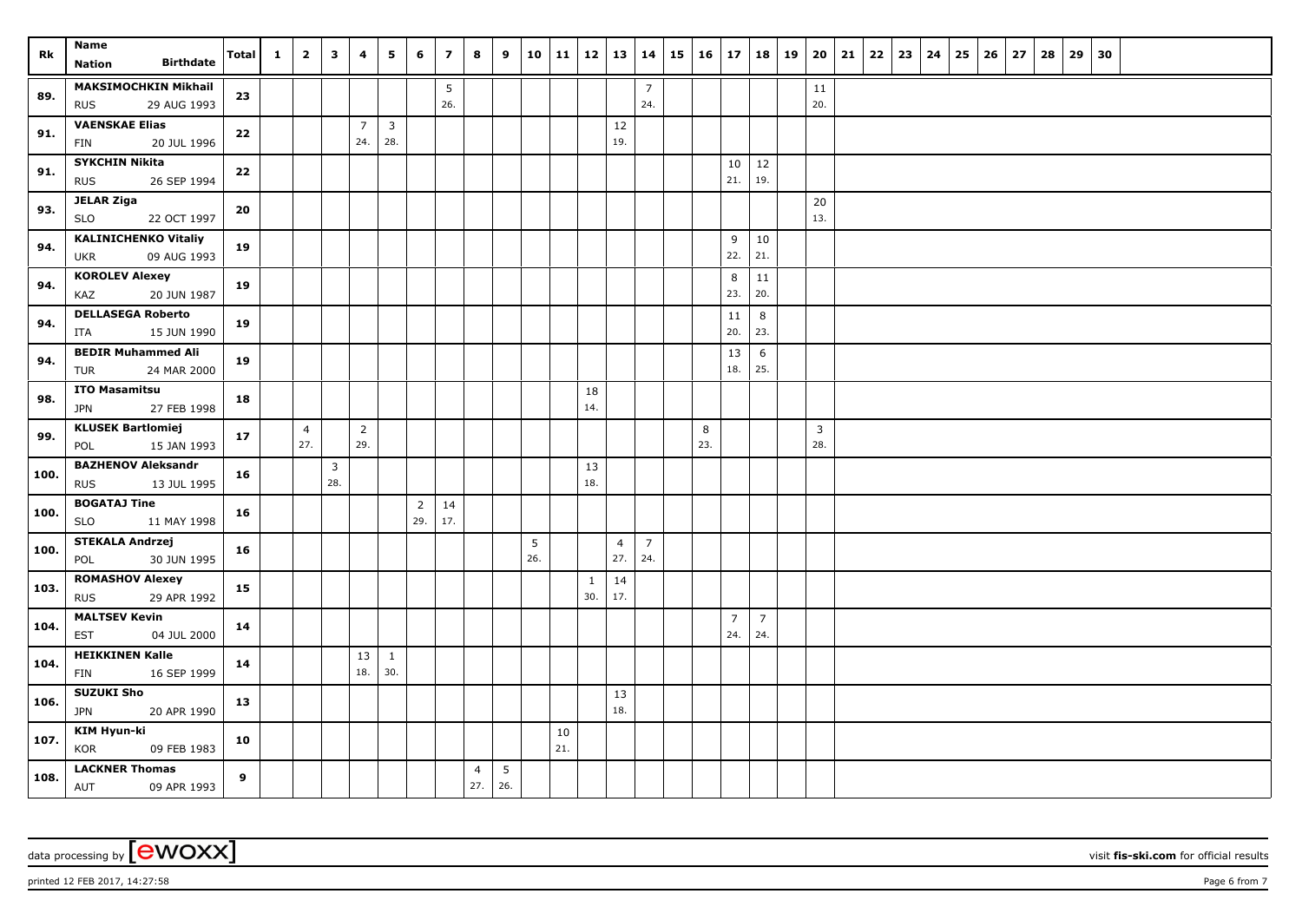| Rk   | Name<br><b>Birthdate</b><br><b>Nation</b>                | Total | $\mathbf{1}$ | $\overline{2}$        | 3                     | 4                     | 5                     | 6                     | $\overline{z}$ | 8                     | 9                      |          |           | $10$   11   12   13 |                       | 14                    | 15 | 16       | 17                    | 18                    | 19 | 20                    | 21 | 22 | 23 | 24 | 25 | 26 | 27 | 28 | 29 | 30 |  |  |  |
|------|----------------------------------------------------------|-------|--------------|-----------------------|-----------------------|-----------------------|-----------------------|-----------------------|----------------|-----------------------|------------------------|----------|-----------|---------------------|-----------------------|-----------------------|----|----------|-----------------------|-----------------------|----|-----------------------|----|----|----|----|----|----|----|----|----|----|--|--|--|
| 89.  | <b>MAKSIMOCHKIN Mikhail</b><br><b>RUS</b><br>29 AUG 1993 | 23    |              |                       |                       |                       |                       |                       | 5<br>26.       |                       |                        |          |           |                     |                       | $\overline{7}$<br>24. |    |          |                       |                       |    | 11<br>20.             |    |    |    |    |    |    |    |    |    |    |  |  |  |
| 91.  | <b>VAENSKAE Elias</b><br>20 JUL 1996<br>FIN              | 22    |              |                       |                       | $\overline{7}$<br>24. | $\overline{3}$<br>28. |                       |                |                       |                        |          |           |                     | 12<br>19.             |                       |    |          |                       |                       |    |                       |    |    |    |    |    |    |    |    |    |    |  |  |  |
| 91.  | <b>SYKCHIN Nikita</b><br><b>RUS</b><br>26 SEP 1994       | 22    |              |                       |                       |                       |                       |                       |                |                       |                        |          |           |                     |                       |                       |    |          | 10<br>21.             | 12<br>19.             |    |                       |    |    |    |    |    |    |    |    |    |    |  |  |  |
| 93.  | <b>JELAR Ziga</b><br>SLO<br>22 OCT 1997                  | 20    |              |                       |                       |                       |                       |                       |                |                       |                        |          |           |                     |                       |                       |    |          |                       |                       |    | 20<br>13.             |    |    |    |    |    |    |    |    |    |    |  |  |  |
| 94.  | <b>KALINICHENKO Vitaliy</b><br>09 AUG 1993<br><b>UKR</b> | 19    |              |                       |                       |                       |                       |                       |                |                       |                        |          |           |                     |                       |                       |    |          | 9<br>22.              | 10<br>21.             |    |                       |    |    |    |    |    |    |    |    |    |    |  |  |  |
| 94.  | <b>KOROLEV Alexey</b><br>20 JUN 1987<br>KAZ              | 19    |              |                       |                       |                       |                       |                       |                |                       |                        |          |           |                     |                       |                       |    |          | 8<br>23.              | 11<br>20.             |    |                       |    |    |    |    |    |    |    |    |    |    |  |  |  |
| 94.  | <b>DELLASEGA Roberto</b><br>15 JUN 1990<br>ITA           | 19    |              |                       |                       |                       |                       |                       |                |                       |                        |          |           |                     |                       |                       |    |          | 11<br>20.             | $\bf 8$<br>23.        |    |                       |    |    |    |    |    |    |    |    |    |    |  |  |  |
| 94.  | <b>BEDIR Muhammed Ali</b><br>24 MAR 2000<br>TUR          | 19    |              |                       |                       |                       |                       |                       |                |                       |                        |          |           |                     |                       |                       |    |          | 13<br>18.             | 6<br>25.              |    |                       |    |    |    |    |    |    |    |    |    |    |  |  |  |
| 98.  | <b>ITO Masamitsu</b><br><b>JPN</b><br>27 FEB 1998        | 18    |              |                       |                       |                       |                       |                       |                |                       |                        |          |           | 18<br>14.           |                       |                       |    |          |                       |                       |    |                       |    |    |    |    |    |    |    |    |    |    |  |  |  |
| 99.  | <b>KLUSEK Bartlomiej</b><br>15 JAN 1993<br>POL           | 17    |              | $\overline{4}$<br>27. |                       | $\overline{2}$<br>29. |                       |                       |                |                       |                        |          |           |                     |                       |                       |    | 8<br>23. |                       |                       |    | $\overline{3}$<br>28. |    |    |    |    |    |    |    |    |    |    |  |  |  |
| 100. | <b>BAZHENOV Aleksandr</b><br><b>RUS</b><br>13 JUL 1995   | 16    |              |                       | $\overline{3}$<br>28. |                       |                       |                       |                |                       |                        |          |           | 13<br>18.           |                       |                       |    |          |                       |                       |    |                       |    |    |    |    |    |    |    |    |    |    |  |  |  |
| 100. | <b>BOGATAJ Tine</b><br><b>SLO</b><br>11 MAY 1998         | 16    |              |                       |                       |                       |                       | $\overline{2}$<br>29. | 14<br>17.      |                       |                        |          |           |                     |                       |                       |    |          |                       |                       |    |                       |    |    |    |    |    |    |    |    |    |    |  |  |  |
| 100. | <b>STEKALA Andrzej</b><br>30 JUN 1995<br>POL             | 16    |              |                       |                       |                       |                       |                       |                |                       |                        | 5<br>26. |           |                     | $\overline{4}$<br>27. | $\overline{7}$<br>24. |    |          |                       |                       |    |                       |    |    |    |    |    |    |    |    |    |    |  |  |  |
| 103. | <b>ROMASHOV Alexey</b><br>29 APR 1992<br><b>RUS</b>      | 15    |              |                       |                       |                       |                       |                       |                |                       |                        |          |           | $\mathbf{1}$<br>30. | 14<br>17.             |                       |    |          |                       |                       |    |                       |    |    |    |    |    |    |    |    |    |    |  |  |  |
| 104. | <b>MALTSEV Kevin</b><br><b>EST</b><br>04 JUL 2000        | 14    |              |                       |                       |                       |                       |                       |                |                       |                        |          |           |                     |                       |                       |    |          | $\overline{7}$<br>24. | $\overline{7}$<br>24. |    |                       |    |    |    |    |    |    |    |    |    |    |  |  |  |
| 104. | <b>HEIKKINEN Kalle</b><br>16 SEP 1999<br>FIN             | 14    |              |                       |                       | 13<br>18.             | $\mathbf{1}$<br>30.   |                       |                |                       |                        |          |           |                     |                       |                       |    |          |                       |                       |    |                       |    |    |    |    |    |    |    |    |    |    |  |  |  |
| 106. | <b>SUZUKI Sho</b><br><b>JPN</b><br>20 APR 1990           | 13    |              |                       |                       |                       |                       |                       |                |                       |                        |          |           |                     | 13<br>18.             |                       |    |          |                       |                       |    |                       |    |    |    |    |    |    |    |    |    |    |  |  |  |
| 107. | KIM Hyun-ki<br>KOR<br>09 FEB 1983                        | 10    |              |                       |                       |                       |                       |                       |                |                       |                        |          | 10<br>21. |                     |                       |                       |    |          |                       |                       |    |                       |    |    |    |    |    |    |    |    |    |    |  |  |  |
| 108. | <b>LACKNER Thomas</b><br>AUT<br>09 APR 1993              | 9     |              |                       |                       |                       |                       |                       |                | $\overline{4}$<br>27. | $5\phantom{.0}$<br>26. |          |           |                     |                       |                       |    |          |                       |                       |    |                       |    |    |    |    |    |    |    |    |    |    |  |  |  |

printed 12 FEB 2017, 14:27:58 Page 6 from 7